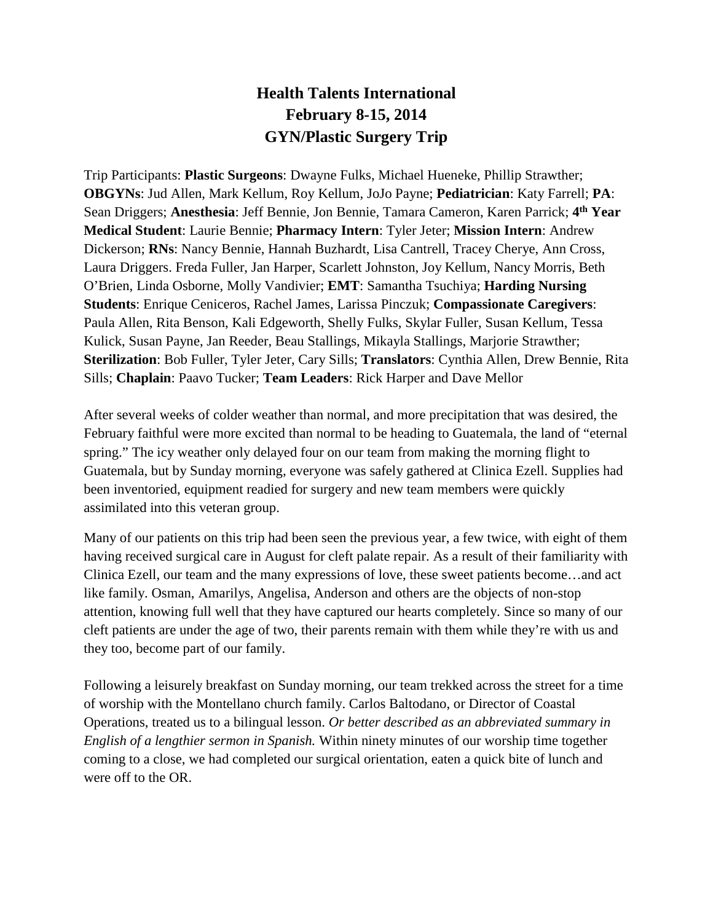## **Health Talents International February 8-15, 2014 GYN/Plastic Surgery Trip**

Trip Participants: **Plastic Surgeons**: Dwayne Fulks, Michael Hueneke, Phillip Strawther; **OBGYNs**: Jud Allen, Mark Kellum, Roy Kellum, JoJo Payne; **Pediatrician**: Katy Farrell; **PA**: Sean Driggers; **Anesthesia**: Jeff Bennie, Jon Bennie, Tamara Cameron, Karen Parrick; **4th Year Medical Student**: Laurie Bennie; **Pharmacy Intern**: Tyler Jeter; **Mission Intern**: Andrew Dickerson; **RNs**: Nancy Bennie, Hannah Buzhardt, Lisa Cantrell, Tracey Cherye, Ann Cross, Laura Driggers. Freda Fuller, Jan Harper, Scarlett Johnston, Joy Kellum, Nancy Morris, Beth O'Brien, Linda Osborne, Molly Vandivier; **EMT**: Samantha Tsuchiya; **Harding Nursing Students**: Enrique Ceniceros, Rachel James, Larissa Pinczuk; **Compassionate Caregivers**: Paula Allen, Rita Benson, Kali Edgeworth, Shelly Fulks, Skylar Fuller, Susan Kellum, Tessa Kulick, Susan Payne, Jan Reeder, Beau Stallings, Mikayla Stallings, Marjorie Strawther; **Sterilization**: Bob Fuller, Tyler Jeter, Cary Sills; **Translators**: Cynthia Allen, Drew Bennie, Rita Sills; **Chaplain**: Paavo Tucker; **Team Leaders**: Rick Harper and Dave Mellor

After several weeks of colder weather than normal, and more precipitation that was desired, the February faithful were more excited than normal to be heading to Guatemala, the land of "eternal spring." The icy weather only delayed four on our team from making the morning flight to Guatemala, but by Sunday morning, everyone was safely gathered at Clinica Ezell. Supplies had been inventoried, equipment readied for surgery and new team members were quickly assimilated into this veteran group.

Many of our patients on this trip had been seen the previous year, a few twice, with eight of them having received surgical care in August for cleft palate repair. As a result of their familiarity with Clinica Ezell, our team and the many expressions of love, these sweet patients become…and act like family. Osman, Amarilys, Angelisa, Anderson and others are the objects of non-stop attention, knowing full well that they have captured our hearts completely. Since so many of our cleft patients are under the age of two, their parents remain with them while they're with us and they too, become part of our family.

Following a leisurely breakfast on Sunday morning, our team trekked across the street for a time of worship with the Montellano church family. Carlos Baltodano, or Director of Coastal Operations, treated us to a bilingual lesson. *Or better described as an abbreviated summary in English of a lengthier sermon in Spanish.* Within ninety minutes of our worship time together coming to a close, we had completed our surgical orientation, eaten a quick bite of lunch and were off to the OR.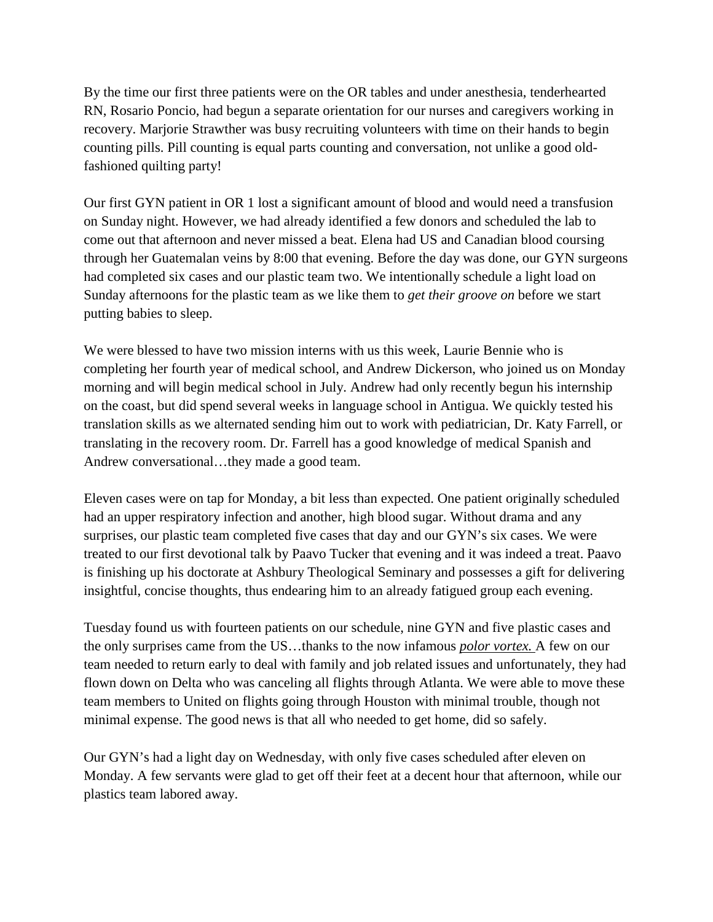By the time our first three patients were on the OR tables and under anesthesia, tenderhearted RN, Rosario Poncio, had begun a separate orientation for our nurses and caregivers working in recovery. Marjorie Strawther was busy recruiting volunteers with time on their hands to begin counting pills. Pill counting is equal parts counting and conversation, not unlike a good oldfashioned quilting party!

Our first GYN patient in OR 1 lost a significant amount of blood and would need a transfusion on Sunday night. However, we had already identified a few donors and scheduled the lab to come out that afternoon and never missed a beat. Elena had US and Canadian blood coursing through her Guatemalan veins by 8:00 that evening. Before the day was done, our GYN surgeons had completed six cases and our plastic team two. We intentionally schedule a light load on Sunday afternoons for the plastic team as we like them to *get their groove on* before we start putting babies to sleep.

We were blessed to have two mission interns with us this week, Laurie Bennie who is completing her fourth year of medical school, and Andrew Dickerson, who joined us on Monday morning and will begin medical school in July. Andrew had only recently begun his internship on the coast, but did spend several weeks in language school in Antigua. We quickly tested his translation skills as we alternated sending him out to work with pediatrician, Dr. Katy Farrell, or translating in the recovery room. Dr. Farrell has a good knowledge of medical Spanish and Andrew conversational…they made a good team.

Eleven cases were on tap for Monday, a bit less than expected. One patient originally scheduled had an upper respiratory infection and another, high blood sugar. Without drama and any surprises, our plastic team completed five cases that day and our GYN's six cases. We were treated to our first devotional talk by Paavo Tucker that evening and it was indeed a treat. Paavo is finishing up his doctorate at Ashbury Theological Seminary and possesses a gift for delivering insightful, concise thoughts, thus endearing him to an already fatigued group each evening.

Tuesday found us with fourteen patients on our schedule, nine GYN and five plastic cases and the only surprises came from the US…thanks to the now infamous *polor vortex.* A few on our team needed to return early to deal with family and job related issues and unfortunately, they had flown down on Delta who was canceling all flights through Atlanta. We were able to move these team members to United on flights going through Houston with minimal trouble, though not minimal expense. The good news is that all who needed to get home, did so safely.

Our GYN's had a light day on Wednesday, with only five cases scheduled after eleven on Monday. A few servants were glad to get off their feet at a decent hour that afternoon, while our plastics team labored away.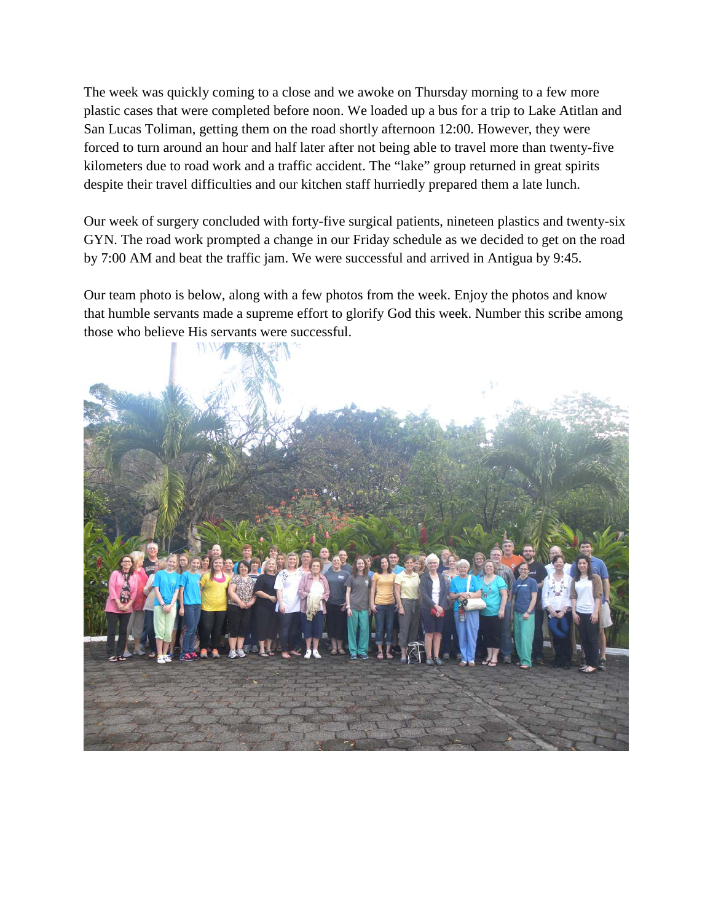The week was quickly coming to a close and we awoke on Thursday morning to a few more plastic cases that were completed before noon. We loaded up a bus for a trip to Lake Atitlan and San Lucas Toliman, getting them on the road shortly afternoon 12:00. However, they were forced to turn around an hour and half later after not being able to travel more than twenty-five kilometers due to road work and a traffic accident. The "lake" group returned in great spirits despite their travel difficulties and our kitchen staff hurriedly prepared them a late lunch.

Our week of surgery concluded with forty-five surgical patients, nineteen plastics and twenty-six GYN. The road work prompted a change in our Friday schedule as we decided to get on the road by 7:00 AM and beat the traffic jam. We were successful and arrived in Antigua by 9:45.

Our team photo is below, along with a few photos from the week. Enjoy the photos and know that humble servants made a supreme effort to glorify God this week. Number this scribe among those who believe His servants were successful.